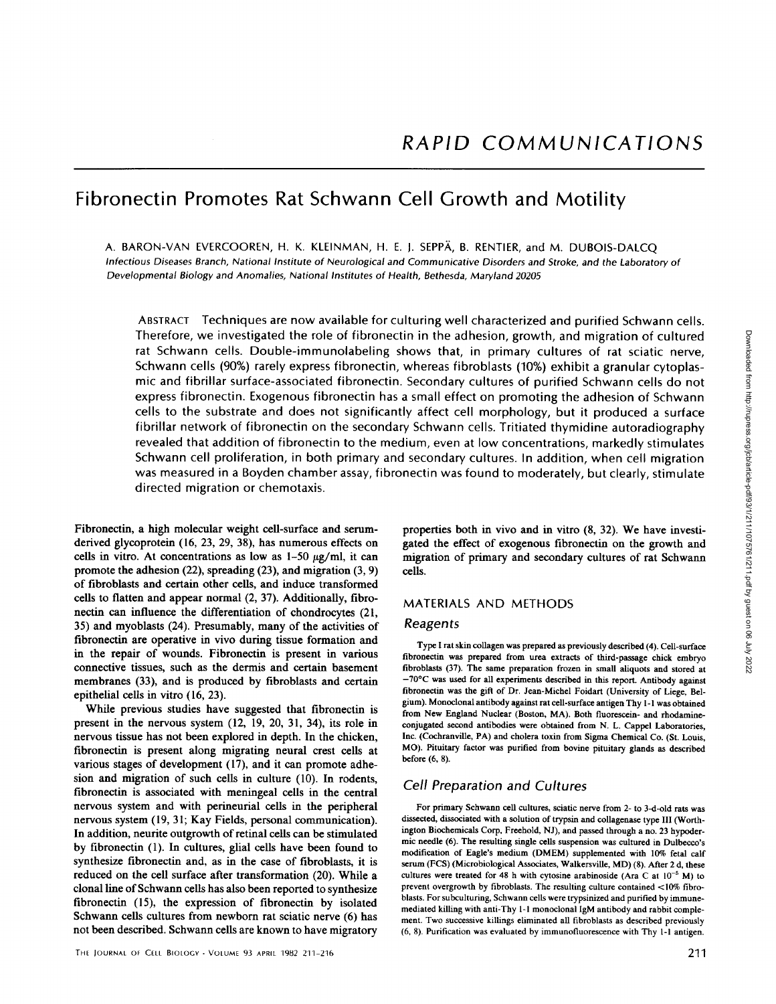# Fibronectin Promotes Rat Schwann Cell Growth and Motility

A. BARON-VAN EVERCOOREN, H. K. KLEINMAN, H. E. J. SEPPÄ, B. RENTIER, and M. DUBOIS-DALCQ Infectious Diseases Branch, National Institute of Neurological and Communicative Disorders and Stroke, and the Laboratory of Developmental Biology and Anomalies, National Institutes of Health, Bethesda, Maryland 20205

ABSTRACT Techniques are now available for culturing well characterized and purified Schwann cells. Therefore, we investigated the role of fibronectin in the adhesion, growth, and migration of cultured rat Schwann cells. Double-immunolabeling shows that, in primary cultures of rat sciatic nerve, Schwann cells (90%) rarely express fibronectin, whereas fibroblasts (10%) exhibit a granular cytoplasmic and fibrillar surface-associated fibronectin. Secondary cultures of purified Schwann cells do not express fibronectin. Exogenous fibronectin has a small effect on promoting the adhesion of Schwann cells to the substrate and does not significantly affect cell morphology, but it produced a surface fibrillar network of fibronectin on the secondary Schwann cells. Tritiated thymidine autoradiography revealed that addition of fibronectin to the medium, even at low concentrations, markedly stimulates Schwann cell proliferation, in both primary and secondary cultures. In addition, when cell migration was measured in a Boyden chamber assay, fibronectin was found to moderately, but clearly, stimulate directed migration or chemotaxis. (in the adhesion, growth, and migration of cultured<br>
Mows that, in primary cultures of rat sciatic nerve,<br>whereas fibroblasts (10%) exhibit a granular cytoplas-<br>
2. Secondary cultures of purified Schwann cells of notic an

Fibronectin, a high molecular weight cell-surface and serumderived glycoprotein (16, 23, 29, 38), has numerous effects on cells in vitro. At concentrations as low as  $1-50 \mu g/ml$ , it can promote the adhesion (22), spreading (23), and migration (3, 9) of fibroblasts and certain other cells, and induce transformed cells to flatten and appear normal (2, 37). Additionally, fibronectin can influence the differentiation of chondrocytes (21, 35) and myoblasts (24) . Presumably, many of the activities of fibronectin are operative in vivo during tissue formation and in the repair of wounds. Fibronectin is present in various connective tissues, such as the dermis and certain basement membranes (33), and is produced by fibroblasts and certain epithelial cells in vitro (16, 23) .

While previous studies have suggested that fibronectin is present in the nervous system (12, 19, 20, 31, 34), its role in nervous tissue has not been explored in depth. In the chicken, fibronectin is present along migrating neural crest cells at various stages of development (17), and it can promote adhesion and migration of such cells in culture (10). In rodents, fibronectin is associated with meningeal cells in the central nervous system and with perineurial cells in the peripheral nervous system (19, 31; Kay Fields, personal communication). In addition, neurite outgrowth of retinal cells can be stimulated by fibronectin (1). In cultures, glial cells have been found to synthesize fibronectin and, as in the case of fibroblasts, it is reduced on the cell surface after transformation (20) . While a clonal line of Schwann cells has also been reported to synthesize fibronectin (15), the expression of fibronectin by isolated Schwann cells cultures from newborn rat sciatic nerve (6) has not been described. Schwann cells are known to have migratory

properties both in vivo and in vitro (8, 32). We have investigated the effect of exogenous fibronectin on the growth and migration of primary and secondary cultures of rat Schwann cells.

## MATERIALS AND METHODS

#### Reagents

Type I rat skin collagen was prepared as previously described (4). Cell-surface fibronectin was prepared from urea extracts of third-passage chick embryo fibroblasts (37). The same preparation frozen in small aliquots and stored at  $-70^{\circ}$ C was used for all experiments described in this report. Antibody against fibronectin was the gift of Dr Jean-Michel Foidart (University of Liege, Belgium). Monoclonal antibody against rat cell-surface antigenThy l-1 was obtained from New England Nuclear (Boston, MA). Both fluorescein- and rhodamineconjugated second antibodies were obtained from N. L. Cappel Laboratories, Inc. (Cochranville, PA) and cholera toxin from Sigma Chemical Co. (St. Louis, MO). Pituitary factor was purified from bovine pituitary glands as described before (6, 8).

## Cell Preparation and Cultures

For primary Schwann cell cultures, sciatic nerve from 2- to 3-d-old rats was dissected, dissociated with a solution of trypsin and collagenase type III (Worthington Biochemicals Corp, Freehold, NJ), and passed through a no. <sup>23</sup> hypodermic needle (6) The resulting single cells suspension was cultured in Dulbecco's modification of Eagle's medium (DMEM) supplemented with 10% fetal calf serum (FCS) (Microbiological Associates, Walkersville, MD) (8). After 2 d, these cultures were treated for 48 h with cytosine arabinoside (Ara C at  $10^{-5}$  M) to prevent overgrowth by fibroblasts . The resulting culture contained <10% fibroblasts. For subculturing, Schwann cells were trypsinized and purified by immunemediated killing with anti-Thy l-1 monoclonal IgM antibody andrabbit complement. Two successive killings eliminated all fibroblasts as described previously (6, 8). Purification was evaluated by immunofluorescence with Thy 1-1 antigen.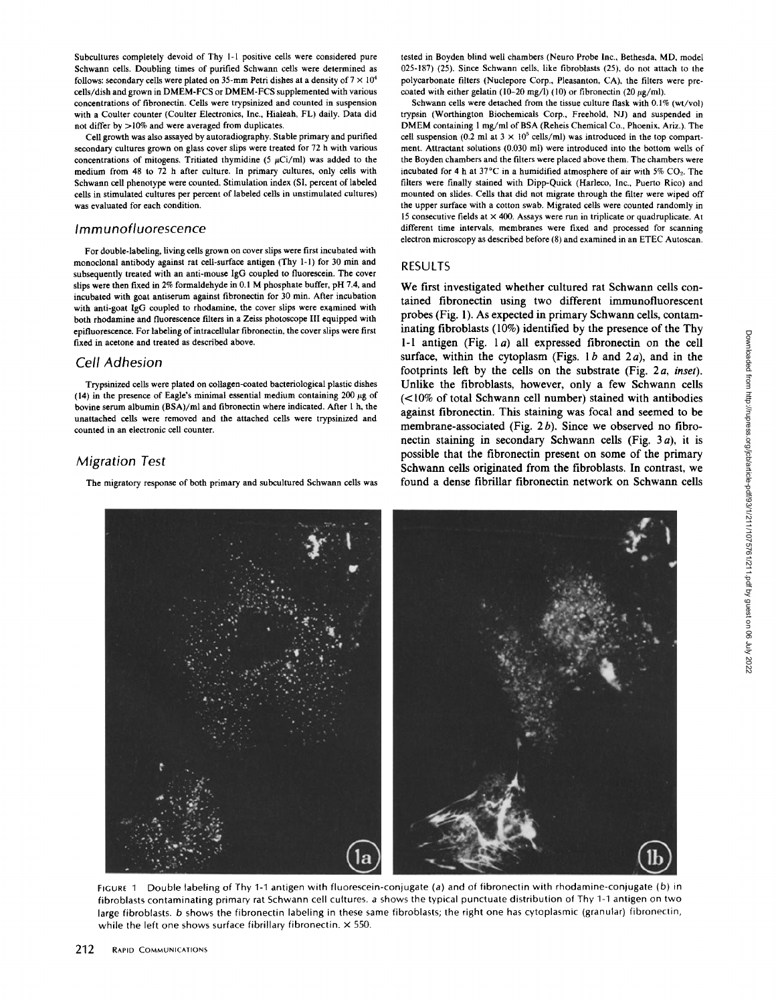Subcultures completely devoid of Thy 1-l positive cells were considered pure Schwann cells. Doubling times of purified Schwann cells were determined as follows: secondary cells were plated on 35-mm Petri dishes at a density of  $7 \times 10^4$ cells/dish and grown in DMEM-FCS or DMEM-FCS supplemented with various concentrations of fibronectin. Cells were trypsinized and counted in suspension with a Coulter counter (Coulter Electronics, Inc., Hialeah, FL) daily. Data did not differ by >10% and were averaged from duplicates.

Cell growth was also assayed by autoradiography. Stable primary and purified secondary cultures grown on glass cover slips were treated for 72 h with various concentrations of mitogens. Tritiated thymidine (5  $\mu$ Ci/ml) was added to the medium from 48 to 72 h after culture. In primary cultures, only cells with Schwann cell phenotype were counted. Stimulation index (SI, percent of labeled cells in stimulated cultures per percent of labeled cells in unstimulated cultures) was evaluated for each condition.

## Immunofluorescence

For double-labeling, living cells grown on cover slips were first incubated with monoclonal antibody against rat cell-surface antigen (Thy 1-1) for 30 min and subsequently treated with an anti-mouse IgG coupled to fluorescein. The cover slips were then fixed in 2% formaldehyde in 0.1 M phosphate buffer, pH 7.4, and incubated with goat antiserum against fibronectin for 30 min. After incubation with anti-goat IgG coupled to rhodamine, the cover slips were examined with both rhodamine and fluorescence filters in a Zeiss photoscope III equipped with epifluorescence. For labeling of intracellular fibronectin, the cover slips were first fixed in acetone and treated as described above.

## Cell Adhesion

Trypsinized cells were plated on collagen-coated bacteriological plastic dishes (14) in the presence of Eagle's minimal essential medium containing 200  $\mu$ g of bovine serum albumin (BSA)/ml and fibronectin where indicated. After <sup>1</sup> h, the unattached cells were removed and the attached cells were trypsinized and counted in an electronic cell counter.

## Migration Test

The migratory response of both primary and subcultured Schwann cells was

tested in Boyden blind well chambers (Neuro Probe Inc., Bethesda, MD, model 025-187) (25) . Since Schwann cells, like fibroblasts (25), do not attach to the polycarbonate filters (Nuclepore Corp., Pleasanton, CA), the filters were precoated with either gelatin (10-20 mg/l) (10) or fibronectin (20  $\mu$ g/ml).

Schwann cells were detached from the tissue culture flask with 0.1% (wt/vol) trypsin (Worthington Biochemicals Corp., Freehold, NJ) and suspended in DMEM containing 1 mg/ml of BSA (Reheis Chemical Co., Phoenix, Ariz.). The cell suspension (0.2 ml at  $3 \times 10^5$  cells/ml) was introduced in the top compartment. Attractant solutions (0.030 ml) were introduced into the bottom wells of the Boyden chambers and the filters were placed above them . The chambers were incubated for 4 h at  $37^{\circ}$ C in a humidified atmosphere of air with  $5\%$  CO<sub>2</sub>. The filters were finally stained with Dipp-Quick (Harleco, Inc., Puerto Rico) and mounted on slides . Cells that did not migrate through the filter were wiped off the upper surface with a cotton swab. Migrated cells were counted randomly in 15 consecutive fields at  $\times$  400. Assays were run in triplicate or quadruplicate. At different time intervals, membranes were fixed and processed for scanning electron microscopy as described before (8) and examined in an ETEC Autoscan.

#### RESULTS

We first investigated whether cultured rat Schwann cells contained fibronectin using two different immunofluorescent probes (Fig. 1) . As expected in primary Schwann cells, contaminating fibroblasts (10%) identified by the presence of the Thy 1-1 antigen (Fig.  $1a$ ) all expressed fibronectin on the cell surface, within the cytoplasm (Figs.  $1b$  and  $2a$ ), and in the footprints left by the cells on the substrate (Fig.  $2a$ , inset). Unlike the fibroblasts, however, only a few Schwann cells (<10% of total Schwann cell number) stained with antibodies against fibronectin. This staining was focal and seemed to be membrane-associated (Fig.  $2b$ ). Since we observed no fibronectin staining in secondary Schwann cells (Fig.  $3a$ ), it is possible that the fibronectin present on some of the primary Schwann cells originated from the fibroblasts. In contrast, we found a dense fibrillar fibronectin network on Schwann cells



FIGURE <sup>1</sup> Double labeling of Thy 1-1 antigen with fluorescein-conjugate (a) and of fibronectin with rhodamine-conjugate (b) in fibroblasts contaminating primary rat Schwann cell cultures. <sup>a</sup> shows the typical punctuate distribution of Thy 1-1 antigen on two large fibroblasts. b shows the fibronectin labeling in these same fibroblasts; the right one has cytoplasmic (granular) fibronectin, while the left one shows surface fibrillary fibronectin.  $\times$  550.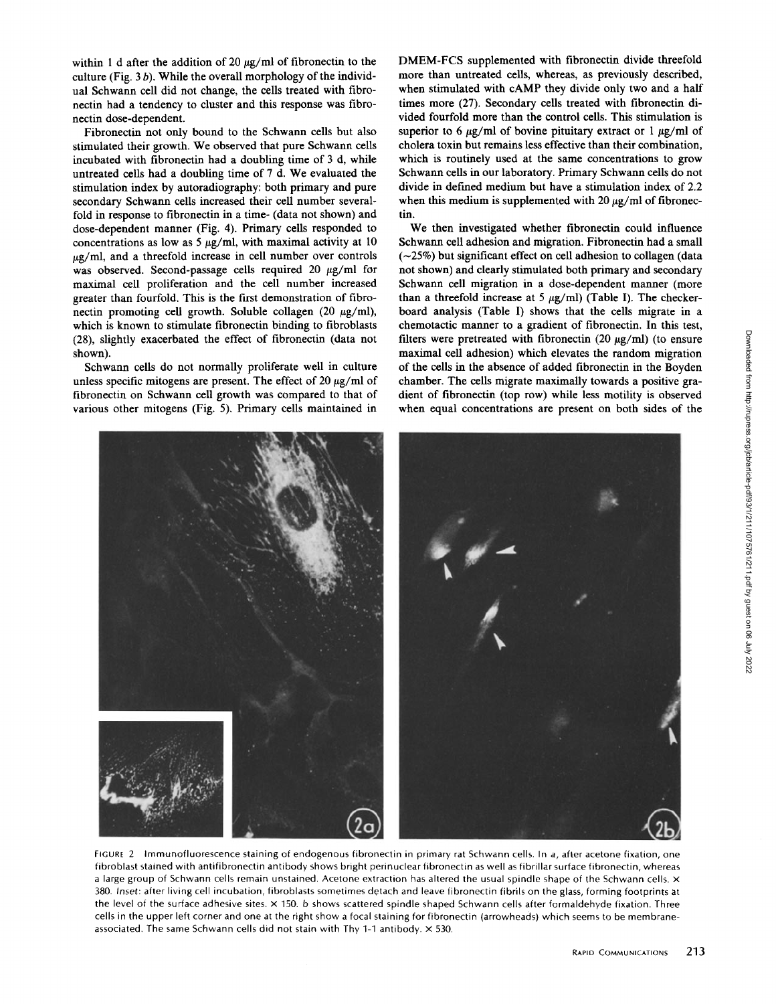within 1 d after the addition of 20  $\mu$ g/ml of fibronectin to the culture (Fig.  $3 b$ ). While the overall morphology of the individual Schwann cell did not change, the cells treated with fibronectin had a tendency to cluster and this response was fibronectin dose-dependent.

Fibronectin not only bound to the Schwann cells but also stimulated their growth. We observed that pure Schwann cells incubated with fibronectin had a doubling time of <sup>3</sup> d, while untreated cells had <sup>a</sup> doubling time of 7 d. We evaluated the stimulation index by autoradiography: both primary and pure secondary Schwann cells increased their cell number severalfold in response to fibronectin in a time- (data not shown) and dose-dependent manner (Fig. 4). Primary cells responded to concentrations as low as 5  $\mu$ g/ml, with maximal activity at 10  $\mu$ g/ml, and a threefold increase in cell number over controls was observed. Second-passage cells required 20  $\mu$ g/ml for maximal cell proliferation and the cell number increased greater than fourfold. This is the first demonstration of fibronectin promoting cell growth. Soluble collagen (20  $\mu$ g/ml), which is known to stimulate fibronectin binding to fibroblasts (28), slightly exacerbated the effect of fibronectin (data not shown).

Schwann cells do not normally proliferate well in culture unless specific mitogens are present. The effect of 20  $\mu$ g/ml of fibronectin on Schwann cell growth was compared to that of various other mitogens (Fig. 5). Primary cells maintained in

DMEM-FCS supplemented with fibronectin divide threefold more than untreated cells, whereas, as previously described, when stimulated with cAMP they divide only two and a half times more (27) . Secondary cells treated with fibronectin divided fourfold more than the control cells . This stimulation is superior to 6  $\mu$ g/ml of bovine pituitary extract or 1  $\mu$ g/ml of cholera toxin but remains less effective than their combination, which is routinely used at the same concentrations to grow Schwann cells in our laboratory. Primary Schwann cells do not divide in defined medium but have a stimulation index of 2.2 when this medium is supplemented with  $20 \mu g/ml$  of fibronectin .

We then investigated whether fibronectin could influence Schwann cell adhesion and migration . Fibronectin had a small  $(-25%)$  but significant effect on cell adhesion to collagen (data not shown) and clearly stimulated both primary and secondary Schwann cell migration in a dose-dependent manner (more than a threefold increase at 5  $\mu$ g/ml) (Table I). The checkerboard analysis (Table I) shows that the cells migrate in a chemotactic manner to a gradient of fibronectin. In this test, filters were pretreated with fibronectin (20  $\mu$ g/ml) (to ensure maximal cell adhesion) which elevates the random migration of the cells in the absence of added fibronectin in the Boyden chamber. The cells migrate maximally towards a positive gradient of fibronectin (top row) while less motility is observed when equal concentrations are present on both sides of the



FIGURE 2 Immunofluorescence staining of endogenous fibronectin in primary rat Schwann cells. In a, after acetone fixation, one fibroblast stained with antifibronectin antibody shows bright perinuclear fibronectin as well as fibrillar surface fibronectin, whereas a large group of Schwann cells remain unstained. Acetone extraction has altered the usual spindle shape of the Schwann cells.  $\times$ 380 Inset: after living cell incubation, fibroblasts sometimes detach and leave fibronectin fibrils on the glass, forming footprints át the level of the surface adhesive sites.  $\times$  150. b shows scattered spindle shaped Schwann cells after formaldehyde fixation. Three cells in the upper left corner and one at the right show a focal staining for fibronectin (arrowheads) which seems to be membraneassociated. The same Schwann cells did not stain with Thy 1-1 antibody.  $\times$  530.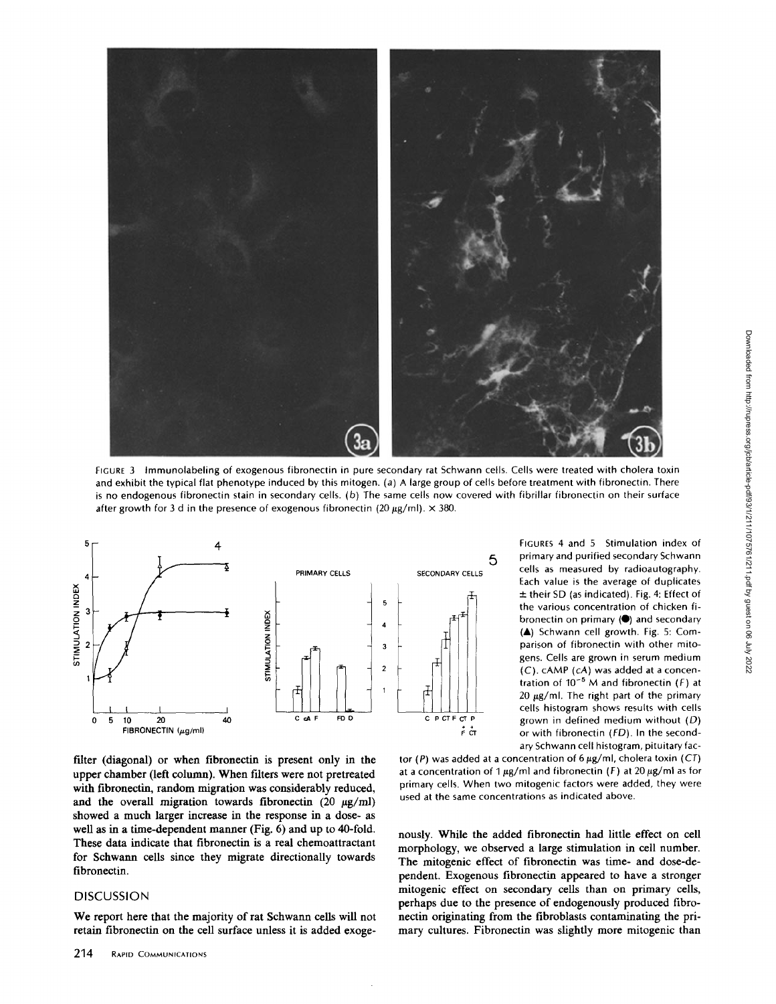

FIGURE <sup>3</sup> Immunolabeling of exogenous fibronectin in pure secondary rat Schwann cells. Cells were treated with cholera toxin and exhibit the typical flat phenotype induced by this mitogen. (a) A large group of cells before treatment with fibronectin. There is no endogenous fibronectin stain in secondary cells. (b) The same cells now covered with fibrillar fibronectin on their surface after growth for 3 d in the presence of exogenous fibronectin (20  $\mu$ g/ml).  $\times$  380.



FIGURES 4 and 5 Stimulation index of primary and purified secondary Schwann cells as measured by radioautography. Each value is the average of duplicates  $±$  their SD (as indicated). Fig. 4: Effect of the various concentration of chicken fibronectin on primary  $($ ) and secondary (A) Schwann cell growth. Fig. 5: Comparison of fibronectin with other mitogens. Cells are grown in serum medium (C) . CAMP (cA) was added at <sup>a</sup> concentration of  $10^{-5}$  M and fibronectin (F) at  $20 \mu g/ml$ . The right part of the primary cells histogram shows results with cells grown in defined medium without  $(D)$ or with fibronectin (FD). In the secondary Schwann cell histogram, pituitary fac-

filter (diagonal) or when fibronectin is present only in the upper chamber (left column). When filters were not pretreated with fibronectin, random migration was considerably reduced, and the overall migration towards fibronectin  $(20 \mu g/ml)$ showed a much larger increase in the response in a dose- as well as in a time-dependent manner (Fig. 6) and up to 40-fold. These data indicate that fibronectin is a real chemoattractant for Schwann cells since they migrate directionally towards fibronectin .

#### DISCUSSION

We report here that the majority of rat Schwann cells will not retain fibronectin on the cell surface unless it is added exoge-

tor (P) was added at a concentration of  $6 \mu g/ml$ , cholera toxin (CT) at a concentration of 1  $\mu$ g/ml and fibronectin (F) at 20  $\mu$ g/ml as for primary cells. When two mitogenic factors were added, they were used at the same concentrations as indicated above.

nously. While the added fibronectin had little effect on cell morphology, we observed a large stimulation in cell number. The mitogenic effect of fibronectin was time- and dose-dependent. Exogenous fibronectin appeared to have <sup>a</sup> stronger mitogenic effect on secondary cells than on primary cells, perhaps due to the presence of endogenously produced fibronectin originating from the fibroblasts contaminating the primary cultures. Fibronectin was slightly more mitogenic than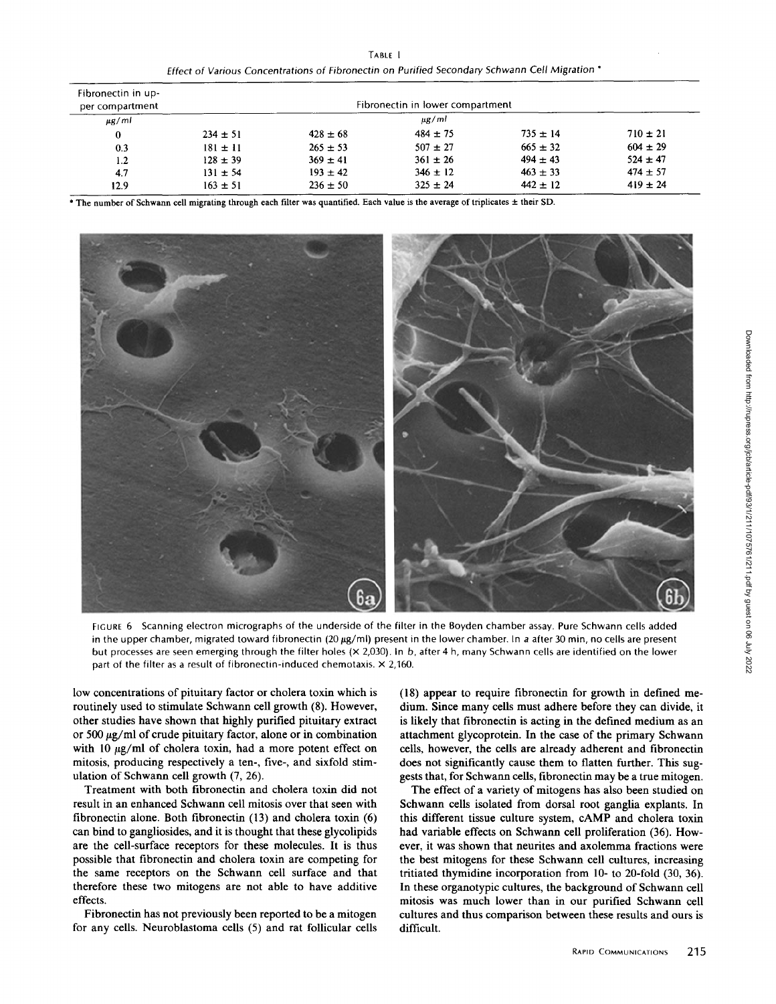TABLE <sup>I</sup> Effect of Various Concentrations of Fibronectin on Purified Secondary Schwann Cell Migration

| Fibronectin in up-<br>per compartment | Fibronectin in lower compartment |              |              |              |              |
|---------------------------------------|----------------------------------|--------------|--------------|--------------|--------------|
| $\mu$ g/ml                            | $\mu$ g/ml                       |              |              |              |              |
| $\bf{0}$                              | $234 \pm 51$                     | $428 \pm 68$ | $484 \pm 75$ | $735 \pm 14$ | $710 \pm 21$ |
| 0.3                                   | $181 \pm 11$                     | $265 \pm 53$ | $507 \pm 27$ | $665 \pm 32$ | $604 \pm 29$ |
| 1.2                                   | $128 \pm 39$                     | $369 \pm 41$ | $361 \pm 26$ | $494 \pm 43$ | $524 \pm 47$ |
| 4.7                                   | $131 \pm 54$                     | $193 \pm 42$ | $346 \pm 12$ | $463 \pm 33$ | $474 \pm 57$ |
| 12.9                                  | $163 \pm 51$                     | $236 \pm 50$ | $325 \pm 24$ | $442 \pm 12$ | $419 \pm 24$ |

\* The number of Schwann cell migrating through each filter was quantified. Each value is the average of triplicates ± their SD.



FIGURE 6 Scanning electron micrographs of the underside of the filter in the Boyden chamber assay. Pure Schwann cells added in the upper chamber, migrated toward fibronectin (20  $\mu$ g/ml) present in the lower chamber. In a after 30 min, no cells are present but processes are seen emerging through the filter holes (x 2,030) . In b, after 4 h, many Schwann cells are identified on the lower part of the filter as a result of fibronectin-induced chemotaxis.  $\times$  2,160.

low concentrations of pituitary factor or cholera toxin which is routinely used to stimulate Schwann cell growth (8). However, other studies have shown that highly purified pituitary extract or 500  $\mu$ g/ml of crude pituitary factor, alone or in combination with 10  $\mu$ g/ml of cholera toxin, had a more potent effect on mitosis, producing respectively a ten-, five-, and sixfold stimulation of Schwann cell growth (7, 26).

Treatment with both fibronectin and cholera toxin did not result in an enhanced Schwann cell mitosis over that seen with fibronectin alone. Both fibronectin (13) and cholera toxin (6) can bind to gangliosides, and it is thought that these glycolipids are the cell-surface receptors for these molecules. It is thus possible that fibronectin and cholera toxin are competing for the same receptors on the Schwann cell surface and that therefore these two mitogens are not able to have additive effects .

Fibronectin has not previously been reported to be a mitogen for any cells. Neuroblastoma cells (5) and rat follicular cells (18) appear to require fibronectin for growth in defined medium. Since many cells must adhere before they can divide, it is likely that fibronectin is acting in the defined medium as an attachment glycoprotein. In the case of the primary Schwann cells, however, the cells are already adherent and fibronectin does not significantly cause them to flatten further. This suggests that, for Schwann cells, fibronectin may be a true mitogen.

The effect of a variety of mitogens has also been studied on Schwann cells isolated from dorsal root ganglia explants. In this different tissue culture system, cAMP and cholera toxin had variable effects on Schwann cell proliferation (36). However, it was shown that neurites and axolemma fractions were the best mitogens for these Schwann cell cultures, increasing tritiated thymidine incorporation from 10- to 20-fold (30, 36). In these organotypic cultures, the background of Schwann cell mitosis was much lower than in our purified Schwann cell cultures and thus comparison between these results and ours is difficult.